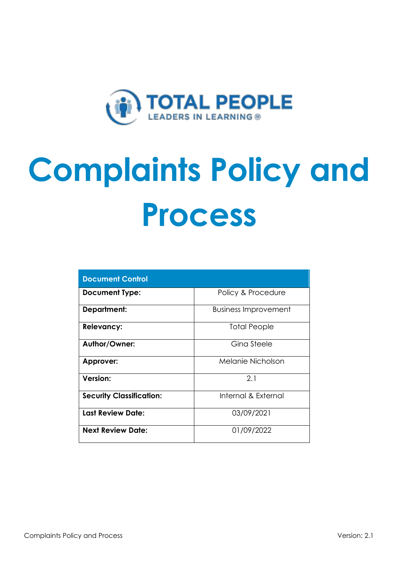

# **Complaints Policy and Process**

| <b>Document Control</b>         |                             |  |
|---------------------------------|-----------------------------|--|
| <b>Document Type:</b>           | Policy & Procedure          |  |
| <b>Department:</b>              | <b>Business Improvement</b> |  |
| <b>Relevancy:</b>               | Total People                |  |
| Author/Owner:                   | Gina Steele                 |  |
| Approver:                       | Melanie Nicholson           |  |
| Version:                        | 2.1                         |  |
| <b>Security Classification:</b> | Internal & External         |  |
| <b>Last Review Date:</b>        | 03/09/2021                  |  |
| <b>Next Review Date:</b>        | 01/09/2022                  |  |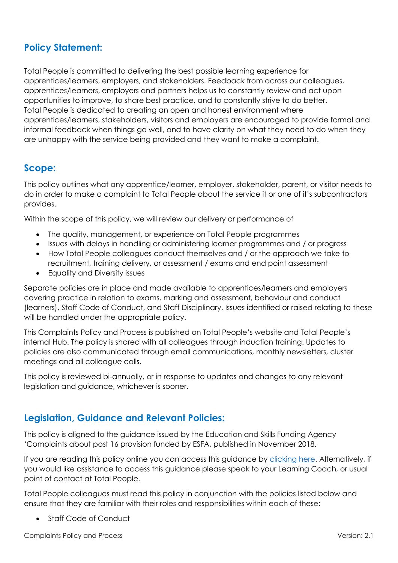# **Policy Statement:**

Total People is committed to delivering the best possible learning experience for apprentices/learners, employers, and stakeholders. Feedback from across our colleagues, apprentices/learners, employers and partners helps us to constantly review and act upon opportunities to improve, to share best practice, and to constantly strive to do better. Total People is dedicated to creating an open and honest environment where apprentices/learners, stakeholders, visitors and employers are encouraged to provide formal and informal feedback when things go well, and to have clarity on what they need to do when they are unhappy with the service being provided and they want to make a complaint.

## **Scope:**

This policy outlines what any apprentice/learner, employer, stakeholder, parent, or visitor needs to do in order to make a complaint to Total People about the service it or one of it's subcontractors provides.

Within the scope of this policy, we will review our delivery or performance of

- The quality, management, or experience on Total People programmes
- Issues with delays in handling or administering learner programmes and / or progress
- How Total People colleagues conduct themselves and / or the approach we take to recruitment, training delivery, or assessment / exams and end point assessment
- Equality and Diversity issues

Separate policies are in place and made available to apprentices/learners and employers covering practice in relation to exams, marking and assessment, behaviour and conduct (learners), Staff Code of Conduct, and Staff Disciplinary. Issues identified or raised relating to these will be handled under the appropriate policy.

This Complaints Policy and Process is published on Total People's website and Total People's internal Hub. The policy is shared with all colleagues through induction training. Updates to policies are also communicated through email communications, monthly newsletters, cluster meetings and all colleague calls.

This policy is reviewed bi-annually, or in response to updates and changes to any relevant legislation and guidance, whichever is sooner.

## **Legislation, Guidance and Relevant Policies:**

This policy is aligned to the guidance issued by the Education and Skills Funding Agency 'Complaints about post 16 provision funded by ESFA, published in November 2018.

If you are reading this policy online you can access this guidance by [clicking here.](https://www.gov.uk/government/publications/complaints-about-post-16-education-and-training-provision-funded-by-esfa/complaints-about-post-16-education-and-training-provision-funded-by-esfa) Alternatively, if you would like assistance to access this guidance please speak to your Learning Coach, or usual point of contact at Total People.

Total People colleagues must read this policy in conjunction with the policies listed below and ensure that they are familiar with their roles and responsibilities within each of these:

• Staff Code of Conduct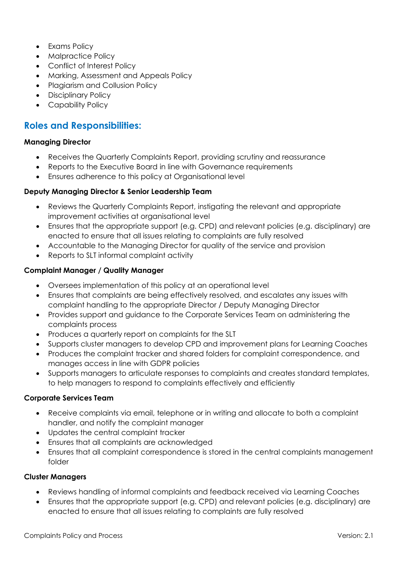- Exams Policy
- Malpractice Policy
- Conflict of Interest Policy
- Marking, Assessment and Appeals Policy
- Plagiarism and Collusion Policy
- Disciplinary Policy
- Capability Policy

## **Roles and Responsibilities:**

#### **Managing Director**

- Receives the Quarterly Complaints Report, providing scrutiny and reassurance
- Reports to the Executive Board in line with Governance requirements
- Ensures adherence to this policy at Organisational level

#### **Deputy Managing Director & Senior Leadership Team**

- Reviews the Quarterly Complaints Report, instigating the relevant and appropriate improvement activities at organisational level
- Ensures that the appropriate support (e.g. CPD) and relevant policies (e.g. disciplinary) are enacted to ensure that all issues relating to complaints are fully resolved
- Accountable to the Managing Director for quality of the service and provision
- Reports to SLT informal complaint activity

#### **Complaint Manager / Quality Manager**

- Oversees implementation of this policy at an operational level
- Ensures that complaints are being effectively resolved, and escalates any issues with complaint handling to the appropriate Director / Deputy Managing Director
- Provides support and guidance to the Corporate Services Team on administering the complaints process
- Produces a quarterly report on complaints for the SLT
- Supports cluster managers to develop CPD and improvement plans for Learning Coaches
- Produces the complaint tracker and shared folders for complaint correspondence, and manages access in line with GDPR policies
- Supports managers to articulate responses to complaints and creates standard templates, to help managers to respond to complaints effectively and efficiently

## **Corporate Services Team**

- Receive complaints via email, telephone or in writing and allocate to both a complaint handler, and notify the complaint manager
- Updates the central complaint tracker
- Ensures that all complaints are acknowledged
- Ensures that all complaint correspondence is stored in the central complaints management folder

## **Cluster Managers**

- Reviews handling of informal complaints and feedback received via Learning Coaches
- Ensures that the appropriate support (e.g. CPD) and relevant policies (e.g. disciplinary) are enacted to ensure that all issues relating to complaints are fully resolved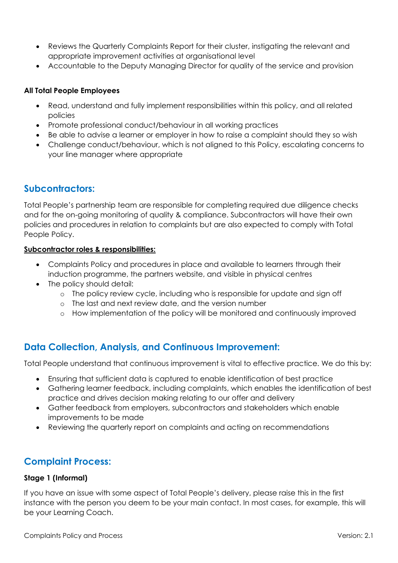- Reviews the Quarterly Complaints Report for their cluster, instigating the relevant and appropriate improvement activities at organisational level
- Accountable to the Deputy Managing Director for quality of the service and provision

## **All Total People Employees**

- Read, understand and fully implement responsibilities within this policy, and all related policies
- Promote professional conduct/behaviour in all working practices
- Be able to advise a learner or employer in how to raise a complaint should they so wish
- Challenge conduct/behaviour, which is not aligned to this Policy, escalating concerns to your line manager where appropriate

## **Subcontractors:**

Total People's partnership team are responsible for completing required due diligence checks and for the on-going monitoring of quality & compliance. Subcontractors will have their own policies and procedures in relation to complaints but are also expected to comply with Total People Policy.

## **Subcontractor roles & responsibilities:**

- Complaints Policy and procedures in place and available to learners through their induction programme, the partners website, and visible in physical centres
- The policy should detail:
	- o The policy review cycle, including who is responsible for update and sign off
	- o The last and next review date, and the version number
	- o How implementation of the policy will be monitored and continuously improved

# **Data Collection, Analysis, and Continuous Improvement:**

Total People understand that continuous improvement is vital to effective practice. We do this by:

- Ensuring that sufficient data is captured to enable identification of best practice
- Gathering learner feedback, including complaints, which enables the identification of best practice and drives decision making relating to our offer and delivery
- Gather feedback from employers, subcontractors and stakeholders which enable improvements to be made
- Reviewing the quarterly report on complaints and acting on recommendations

# **Complaint Process:**

## **Stage 1 (Informal)**

If you have an issue with some aspect of Total People's delivery, please raise this in the first instance with the person you deem to be your main contact. In most cases, for example, this will be your Learning Coach.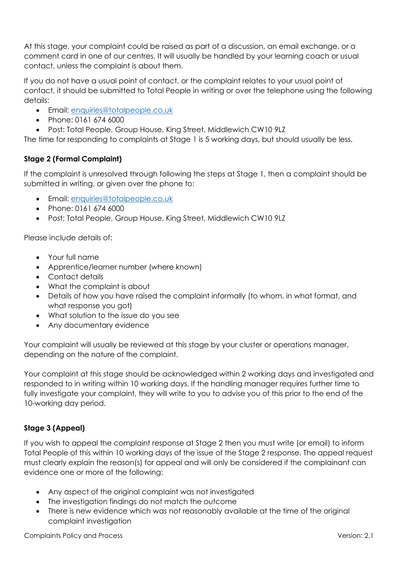At this stage, your complaint could be raised as part of a discussion, an email exchange, or a comment card in one of our centres. It will usually be handled by your learning coach or usual contact, unless the complaint is about them.

If you do not have a usual point of contact, or the complaint relates to your usual point of contact, it should be submitted to Total People in writing or over the telephone using the following details:

- Email: [enquiries@totalpeople.co.uk](mailto:enquiries@totalpeople.co.uk)
- Phone: 0161 674 6000
- Post: Total People, Group House, King Street, Middlewich CW10 9LZ

The time for responding to complaints at Stage 1 is 5 working days, but should usually be less.

## **Stage 2 (Formal Complaint)**

If the complaint is unresolved through following the steps at Stage 1, then a complaint should be submitted in writing, or given over the phone to:

- Email: [enquiries@totalpeople.co.uk](mailto:enquiries@totalpeople.co.uk)
- Phone: 0161 674 6000
- Post: Total People, Group House, King Street, Middlewich CW10 9LZ

Please include details of:

- Your full name
- Apprentice/learner number (where known)
- Contact details
- What the complaint is about
- Details of how you have raised the complaint informally (to whom, in what format, and what response you got)
- What solution to the issue do you see
- Any documentary evidence

Your complaint will usually be reviewed at this stage by your cluster or operations manager, depending on the nature of the complaint.

Your complaint at this stage should be acknowledged within 2 working days and investigated and responded to in writing within 10 working days. If the handling manager requires further time to fully investigate your complaint, they will write to you to advise you of this prior to the end of the 10-working day period.

## **Stage 3 (Appeal)**

If you wish to appeal the complaint response at Stage 2 then you must write (or email) to inform Total People of this within 10 working days of the issue of the Stage 2 response. The appeal request must clearly explain the reason(s) for appeal and will only be considered if the complainant can evidence one or more of the following:

- Any aspect of the original complaint was not investigated
- The investigation findings do not match the outcome
- There is new evidence which was not reasonably available at the time of the original complaint investigation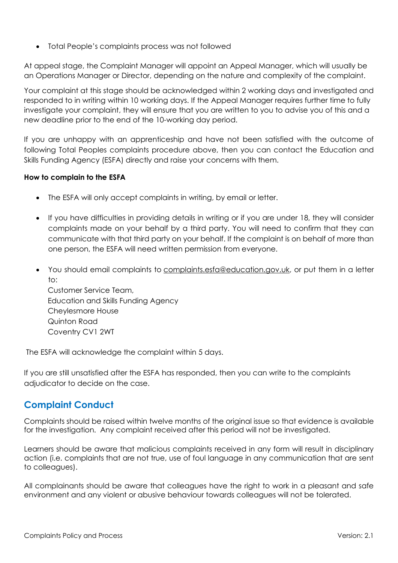• Total People's complaints process was not followed

At appeal stage, the Complaint Manager will appoint an Appeal Manager, which will usually be an Operations Manager or Director, depending on the nature and complexity of the complaint.

Your complaint at this stage should be acknowledged within 2 working days and investigated and responded to in writing within 10 working days. If the Appeal Manager requires further time to fully investigate your complaint, they will ensure that you are written to you to advise you of this and a new deadline prior to the end of the 10-working day period.

If you are unhappy with an apprenticeship and have not been satisfied with the outcome of following Total Peoples complaints procedure above, then you can contact the Education and Skills Funding Agency (ESFA) directly and raise your concerns with them.

## **How to complain to the ESFA**

- The ESFA will only accept complaints in writing, by email or letter.
- If you have difficulties in providing details in writing or if you are under 18, they will consider complaints made on your behalf by a third party. You will need to confirm that they can communicate with that third party on your behalf. If the complaint is on behalf of more than one person, the ESFA will need written permission from everyone.
- You should email complaints to [complaints.esfa@education.gov.uk,](mailto:complaints.esfa@education.gov.uk) or put them in a letter  $\dots$ Customer Service Team, Education and Skills Funding Agency

Cheylesmore House Quinton Road Coventry CV1 2WT

The ESFA will acknowledge the complaint within 5 days.

If you are still unsatisfied after the ESFA has responded, then you can write to the complaints adjudicator to decide on the case.

# **Complaint Conduct**

Complaints should be raised within twelve months of the original issue so that evidence is available for the investigation. Any complaint received after this period will not be investigated.

Learners should be aware that malicious complaints received in any form will result in disciplinary action (i.e. complaints that are not true, use of foul language in any communication that are sent to colleagues).

All complainants should be aware that colleagues have the right to work in a pleasant and safe environment and any violent or abusive behaviour towards colleagues will not be tolerated.